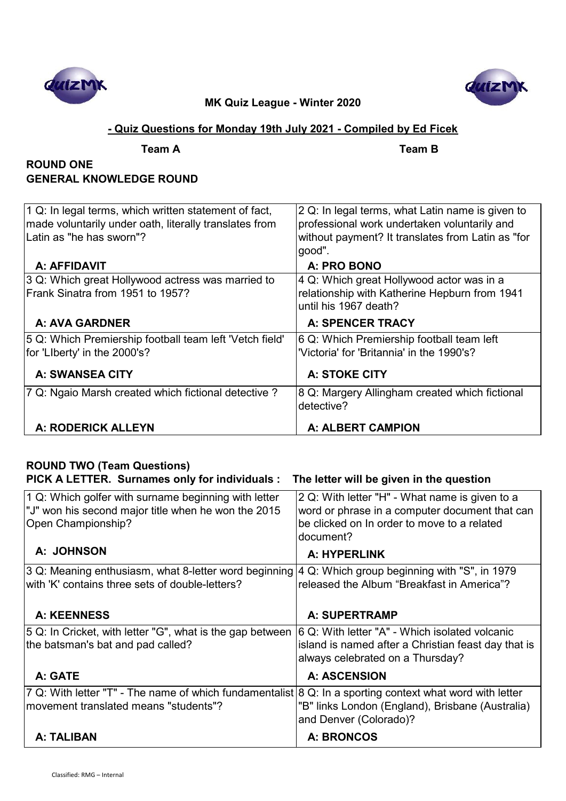



## **- Quiz Questions for Monday 19th July 2021 - Compiled by Ed Ficek**

| IM |  |
|----|--|
|    |  |

**Team A Team B**

## **ROUND ONE GENERAL KNOWLEDGE ROUND**

| 1 Q: In legal terms, which written statement of fact,<br>made voluntarily under oath, literally translates from<br>Latin as "he has sworn"? | 2 Q: In legal terms, what Latin name is given to<br>professional work undertaken voluntarily and<br>without payment? It translates from Latin as "for<br>good". |
|---------------------------------------------------------------------------------------------------------------------------------------------|-----------------------------------------------------------------------------------------------------------------------------------------------------------------|
| A: AFFIDAVIT                                                                                                                                | A: PRO BONO                                                                                                                                                     |
| 3 Q: Which great Hollywood actress was married to<br>Frank Sinatra from 1951 to 1957?                                                       | 4 Q: Which great Hollywood actor was in a<br>relationship with Katherine Hepburn from 1941<br>until his 1967 death?                                             |
| A: AVA GARDNER                                                                                                                              | <b>A: SPENCER TRACY</b>                                                                                                                                         |
| 5 Q: Which Premiership football team left 'Vetch field'                                                                                     | 6 Q: Which Premiership football team left                                                                                                                       |
| for 'LIberty' in the 2000's?                                                                                                                | 'Victoria' for 'Britannia' in the 1990's?                                                                                                                       |
| <b>A: SWANSEA CITY</b>                                                                                                                      | <b>A: STOKE CITY</b>                                                                                                                                            |
| 7 Q: Ngaio Marsh created which fictional detective?                                                                                         | 8 Q: Margery Allingham created which fictional<br>detective?                                                                                                    |
| A: RODERICK ALLEYN                                                                                                                          | <b>A: ALBERT CAMPION</b>                                                                                                                                        |

#### **ROUND TWO (Team Questions) PICK A LETTER. Surnames only for individuals : The letter will be given in the question** 1 Q: Which golfer with surname beginning with letter "J" won his second major title when he won the 2015 Open Championship? 2 Q: With letter "H" - What name is given to a word or phrase in a computer document that can be clicked on In order to move to a related document?  **A: JOHNSON A: HYPERLINK** 3 Q: Meaning enthusiasm, what 8-letter word beginning with 'K' contains three sets of double-letters? 4 Q: Which group beginning with "S", in 1979 released the Album "Breakfast in America"?  **A: KEENNESS A: SUPERTRAMP** 5 Q: In Cricket, with letter "G", what is the gap between 6 Q: With letter "A" - Which isolated volcanic the batsman's bat and pad called? island is named after a Christian feast day that is

|                                                                                                                                                   | always celebrated on a Thursday?                                           |
|---------------------------------------------------------------------------------------------------------------------------------------------------|----------------------------------------------------------------------------|
| A: GATE                                                                                                                                           | <b>A: ASCENSION</b>                                                        |
| 7 Q: With letter "T" - The name of which fundamentalist 8 Q: In a sporting context what word with letter<br>movement translated means "students"? | "B" links London (England), Brisbane (Australia)<br>and Denver (Colorado)? |
| A: TALIBAN                                                                                                                                        | A: BRONCOS                                                                 |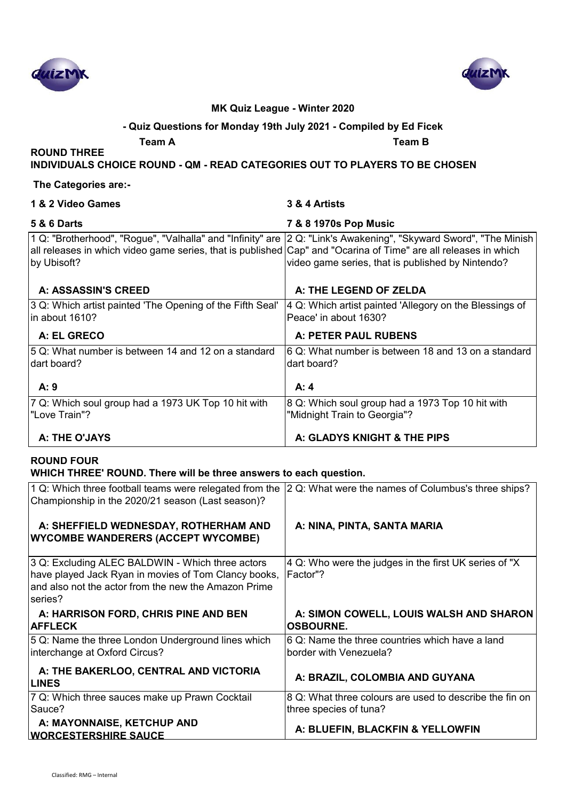



#### **- Quiz Questions for Monday 19th July 2021 - Compiled by Ed Ficek**

**Team A Team B**

**INDIVIDUALS CHOICE ROUND - QM - READ CATEGORIES OUT TO PLAYERS TO BE CHOSEN**

#### **The Categories are:-**

**ROUND THREE** 

| 1 & 2 Video Games                                                                                                                                                                                                                                   | 3 & 4 Artists                                                                    |
|-----------------------------------------------------------------------------------------------------------------------------------------------------------------------------------------------------------------------------------------------------|----------------------------------------------------------------------------------|
| <b>5 &amp; 6 Darts</b>                                                                                                                                                                                                                              | 7 & 8 1970s Pop Music                                                            |
| 1 Q: "Brotherhood", "Rogue", "Valhalla" and "Infinity" are  2 Q: "Link's Awakening", "Skyward Sword", "The Minish<br>all releases in which video game series, that is published Cap" and "Ocarina of Time" are all releases in which<br>by Ubisoft? | video game series, that is published by Nintendo?                                |
| A: ASSASSIN'S CREED                                                                                                                                                                                                                                 | A: THE LEGEND OF ZELDA                                                           |
| 3 Q: Which artist painted 'The Opening of the Fifth Seal'<br>lin about 1610?                                                                                                                                                                        | 4 Q: Which artist painted 'Allegory on the Blessings of<br>Peace' in about 1630? |
| A: EL GRECO                                                                                                                                                                                                                                         | A: PETER PAUL RUBENS                                                             |
| 5 Q: What number is between 14 and 12 on a standard<br>ldart board?                                                                                                                                                                                 | 6 Q: What number is between 18 and 13 on a standard<br>dart board?               |
| A:9                                                                                                                                                                                                                                                 | A: 4                                                                             |
| 7 Q: Which soul group had a 1973 UK Top 10 hit with<br>l"Love Train"?                                                                                                                                                                               | 8 Q: Which soul group had a 1973 Top 10 hit with<br>"Midnight Train to Georgia"? |
| A: THE O'JAYS                                                                                                                                                                                                                                       | A: GLADYS KNIGHT & THE PIPS                                                      |

### **ROUND FOUR**

#### **WHICH THREE' ROUND. There will be three answers to each question.**

| 1 Q: Which three football teams were relegated from the<br>Championship in the 2020/21 season (Last season)?                                                                | 2 Q: What were the names of Columbus's three ships?                               |
|-----------------------------------------------------------------------------------------------------------------------------------------------------------------------------|-----------------------------------------------------------------------------------|
| A: SHEFFIELD WEDNESDAY, ROTHERHAM AND<br><b>WYCOMBE WANDERERS (ACCEPT WYCOMBE)</b>                                                                                          | A: NINA, PINTA, SANTA MARIA                                                       |
| 3 Q: Excluding ALEC BALDWIN - Which three actors<br>have played Jack Ryan in movies of Tom Clancy books,<br>and also not the actor from the new the Amazon Prime<br>series? | 4 Q: Who were the judges in the first UK series of "X"<br>Factor"?                |
| A: HARRISON FORD, CHRIS PINE AND BEN<br><b>AFFLECK</b>                                                                                                                      | A: SIMON COWELL, LOUIS WALSH AND SHARON<br><b>OSBOURNE.</b>                       |
| 5 Q: Name the three London Underground lines which<br>interchange at Oxford Circus?                                                                                         | 6 Q: Name the three countries which have a land<br>border with Venezuela?         |
| A: THE BAKERLOO, CENTRAL AND VICTORIA<br><b>LINES</b>                                                                                                                       | A: BRAZIL, COLOMBIA AND GUYANA                                                    |
| 7 Q: Which three sauces make up Prawn Cocktail<br>Sauce?                                                                                                                    | 8 Q: What three colours are used to describe the fin on<br>three species of tuna? |
| A: MAYONNAISE, KETCHUP AND<br><b>WORCESTERSHIRE SAUCE</b>                                                                                                                   | A: BLUEFIN, BLACKFIN & YELLOWFIN                                                  |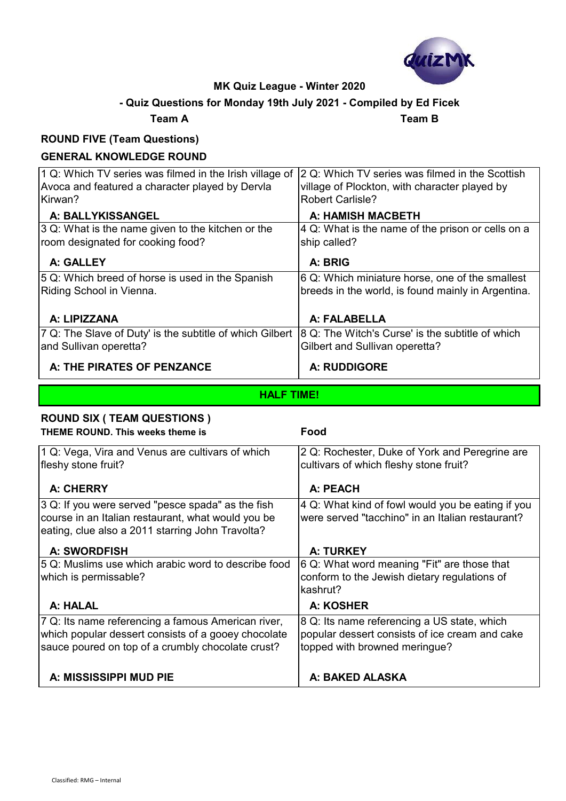

## **- Quiz Questions for Monday 19th July 2021 - Compiled by Ed Ficek**

#### **Team A Team B**

#### **ROUND FIVE (Team Questions)**

## **GENERAL KNOWLEDGE ROUND**

| 1 Q: Which TV series was filmed in the Irish village of<br>Avoca and featured a character played by Dervla | 2 Q: Which TV series was filmed in the Scottish<br>village of Plockton, with character played by |
|------------------------------------------------------------------------------------------------------------|--------------------------------------------------------------------------------------------------|
| Kirwan?                                                                                                    | <b>Robert Carlisle?</b>                                                                          |
| A: BALLYKISSANGEL                                                                                          | <b>A: HAMISH MACBETH</b>                                                                         |
| 3 Q: What is the name given to the kitchen or the                                                          | 4 Q: What is the name of the prison or cells on a                                                |
| room designated for cooking food?                                                                          | ship called?                                                                                     |
| A: GALLEY                                                                                                  | A: BRIG                                                                                          |
| 5 Q: Which breed of horse is used in the Spanish                                                           | 6 Q: Which miniature horse, one of the smallest                                                  |
| Riding School in Vienna.                                                                                   | breeds in the world, is found mainly in Argentina.                                               |
|                                                                                                            |                                                                                                  |
| A: LIPIZZANA                                                                                               | A: FALABELLA                                                                                     |
| 7 Q: The Slave of Duty' is the subtitle of which Gilbert                                                   | 8 Q: The Witch's Curse' is the subtitle of which                                                 |
| and Sullivan operetta?                                                                                     | Gilbert and Sullivan operetta?                                                                   |
| A: THE PIRATES OF PENZANCE                                                                                 | <b>A: RUDDIGORE</b>                                                                              |

#### **HALF TIME!**

#### **ROUND SIX ( TEAM QUESTIONS ) THEME ROUND. This weeks theme is Food**

1 Q: Vega, Vira and Venus are cultivars of which fleshy stone fruit? 2 Q: Rochester, Duke of York and Peregrine are cultivars of which fleshy stone fruit?  **A: CHERRY A: PEACH** 3 Q: If you were served "pesce spada" as the fish course in an Italian restaurant, what would you be eating, clue also a 2011 starring John Travolta? 4 Q: What kind of fowl would you be eating if you were served "tacchino" in an Italian restaurant?  **A: SWORDFISH A: TURKEY**  5 Q: Muslims use which arabic word to describe food which is permissable? 6 Q: What word meaning "Fit" are those that conform to the Jewish dietary regulations of kashrut?  **A: HALAL A: KOSHER** 7 Q: Its name referencing a famous American river, which popular dessert consists of a gooey chocolate sauce poured on top of a crumbly chocolate crust? 8 Q: Its name referencing a US state, which popular dessert consists of ice cream and cake topped with browned meringue? A: MISSISSIPPI MUD PIE **A: BAKED ALASKA**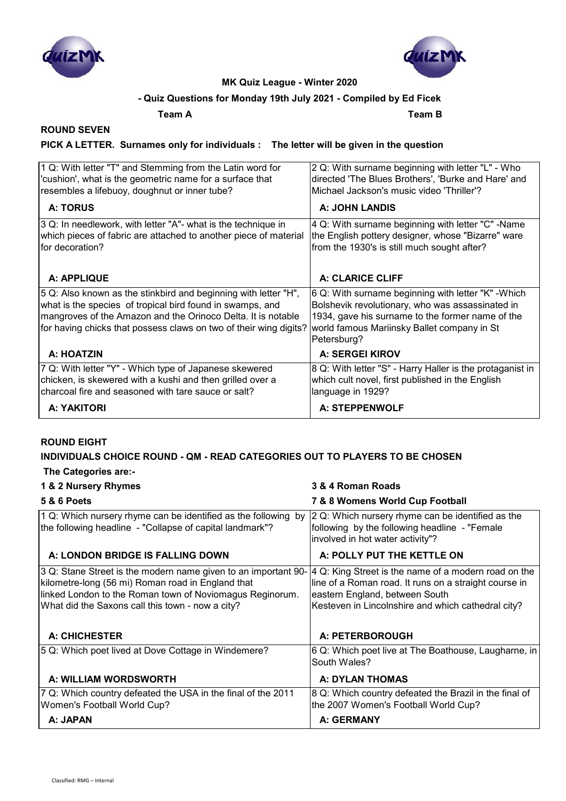



## **- Quiz Questions for Monday 19th July 2021 - Compiled by Ed Ficek**

**Team A Team B**

## **ROUND SEVEN**

### **PICK A LETTER. Surnames only for individuals : The letter will be given in the question**

| 1 Q: With letter "T" and Stemming from the Latin word for                                                                                                                                                                                                         | 2 Q: With surname beginning with letter "L" - Who                                                                                                                                                                         |
|-------------------------------------------------------------------------------------------------------------------------------------------------------------------------------------------------------------------------------------------------------------------|---------------------------------------------------------------------------------------------------------------------------------------------------------------------------------------------------------------------------|
| 'cushion', what is the geometric name for a surface that                                                                                                                                                                                                          | directed 'The Blues Brothers', 'Burke and Hare' and                                                                                                                                                                       |
| resembles a lifebuoy, doughnut or inner tube?                                                                                                                                                                                                                     | Michael Jackson's music video 'Thriller'?                                                                                                                                                                                 |
| <b>A: TORUS</b>                                                                                                                                                                                                                                                   | <b>A: JOHN LANDIS</b>                                                                                                                                                                                                     |
| 3 Q: In needlework, with letter "A"- what is the technique in                                                                                                                                                                                                     | 4 Q: With surname beginning with letter "C" -Name                                                                                                                                                                         |
| which pieces of fabric are attached to another piece of material                                                                                                                                                                                                  | the English pottery designer, whose "Bizarre" ware                                                                                                                                                                        |
| for decoration?                                                                                                                                                                                                                                                   | from the 1930's is still much sought after?                                                                                                                                                                               |
| A: APPLIQUE                                                                                                                                                                                                                                                       | A: CLARICE CLIFF                                                                                                                                                                                                          |
| 5 Q: Also known as the stinkbird and beginning with letter "H",<br>what is the species of tropical bird found in swamps, and<br>mangroves of the Amazon and the Orinoco Delta. It is notable<br>for having chicks that possess claws on two of their wing digits? | 6 Q: With surname beginning with letter "K" - Which<br>Bolshevik revolutionary, who was assassinated in<br>1934, gave his surname to the former name of the<br>world famous Mariinsky Ballet company in St<br>Petersburg? |
| A: HOATZIN                                                                                                                                                                                                                                                        | <b>A: SERGEI KIROV</b>                                                                                                                                                                                                    |
| 7 Q: With letter "Y" - Which type of Japanese skewered                                                                                                                                                                                                            | 8 Q: With letter "S" - Harry Haller is the protaganist in                                                                                                                                                                 |
| chicken, is skewered with a kushi and then grilled over a                                                                                                                                                                                                         | which cult novel, first published in the English                                                                                                                                                                          |
| charcoal fire and seasoned with tare sauce or salt?                                                                                                                                                                                                               | language in 1929?                                                                                                                                                                                                         |
| A: YAKITORI                                                                                                                                                                                                                                                       | A: STEPPENWOLF                                                                                                                                                                                                            |

#### **ROUND EIGHT**

#### **INDIVIDUALS CHOICE ROUND - QM - READ CATEGORIES OUT TO PLAYERS TO BE CHOSEN**

 **The Categories are:-**

| 1 & 2 Nursery Rhymes                                                                                                                                                                                                                | 3 & 4 Roman Roads                                                                                                                                                                                     |
|-------------------------------------------------------------------------------------------------------------------------------------------------------------------------------------------------------------------------------------|-------------------------------------------------------------------------------------------------------------------------------------------------------------------------------------------------------|
| <b>5 &amp; 6 Poets</b>                                                                                                                                                                                                              | 7 & 8 Womens World Cup Football                                                                                                                                                                       |
| 1 Q: Which nursery rhyme can be identified as the following by<br>the following headline - "Collapse of capital landmark"?                                                                                                          | 2 Q: Which nursery rhyme can be identified as the<br>following by the following headline - "Female<br>involved in hot water activity"?                                                                |
| A: LONDON BRIDGE IS FALLING DOWN                                                                                                                                                                                                    | A: POLLY PUT THE KETTLE ON                                                                                                                                                                            |
| 3 Q: Stane Street is the modern name given to an important 90-<br>kilometre-long (56 mi) Roman road in England that<br>linked London to the Roman town of Noviomagus Reginorum.<br>What did the Saxons call this town - now a city? | 4 Q: King Street is the name of a modern road on the<br>line of a Roman road. It runs on a straight course in<br>eastern England, between South<br>Kesteven in Lincolnshire and which cathedral city? |
| <b>A: CHICHESTER</b>                                                                                                                                                                                                                | A: PETERBOROUGH                                                                                                                                                                                       |
| 5 Q: Which poet lived at Dove Cottage in Windemere?                                                                                                                                                                                 | 6 Q: Which poet live at The Boathouse, Laugharne, in<br>South Wales?                                                                                                                                  |
| A: WILLIAM WORDSWORTH                                                                                                                                                                                                               | <b>A: DYLAN THOMAS</b>                                                                                                                                                                                |
| 7 Q: Which country defeated the USA in the final of the 2011<br>Women's Football World Cup?                                                                                                                                         | 8 Q: Which country defeated the Brazil in the final of<br>the 2007 Women's Football World Cup?                                                                                                        |
| A: JAPAN                                                                                                                                                                                                                            | A: GERMANY                                                                                                                                                                                            |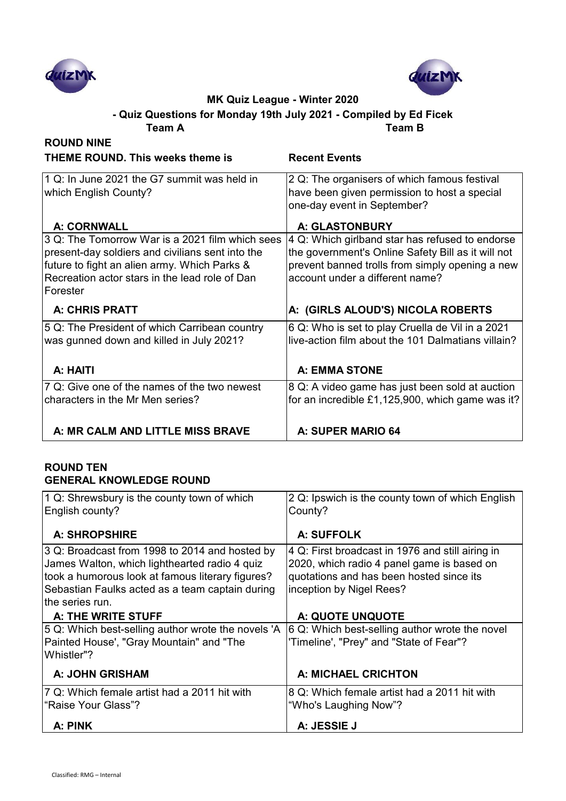



**Team A Team B - Quiz Questions for Monday 19th July 2021 - Compiled by Ed Ficek**

| <b>ROUND NINE</b>                                           |                                                                             |
|-------------------------------------------------------------|-----------------------------------------------------------------------------|
| <b>THEME ROUND. This weeks theme is</b>                     | <b>Recent Events</b>                                                        |
| 1 Q: In June 2021 the G7 summit was held in                 | 2 Q: The organisers of which famous festival                                |
| which English County?                                       | have been given permission to host a special<br>one-day event in September? |
| <b>A: CORNWALL</b>                                          | A: GLASTONBURY                                                              |
| 3 Q: The Tomorrow War is a 2021 film which sees             | 4 Q: Which girlband star has refused to endorse                             |
| present-day soldiers and civilians sent into the            | the government's Online Safety Bill as it will not                          |
| future to fight an alien army. Which Parks &                | prevent banned trolls from simply opening a new                             |
| Recreation actor stars in the lead role of Dan<br>lForester | account under a different name?                                             |
| <b>A: CHRIS PRATT</b>                                       | A: (GIRLS ALOUD'S) NICOLA ROBERTS                                           |
| 5 Q: The President of which Carribean country               | 6 Q: Who is set to play Cruella de Vil in a 2021                            |
| was gunned down and killed in July 2021?                    | live-action film about the 101 Dalmatians villain?                          |
|                                                             |                                                                             |
| A: HAITI                                                    | <b>A: EMMA STONE</b>                                                        |
| 7 Q: Give one of the names of the two newest                | 8 Q: A video game has just been sold at auction                             |
| characters in the Mr Men series?                            | for an incredible £1,125,900, which game was it?                            |
|                                                             |                                                                             |
| A: MR CALM AND LITTLE MISS BRAVE                            | A: SUPER MARIO 64                                                           |

### **ROUND TEN GENERAL KNOWLEDGE ROUND**

| 1 Q: Shrewsbury is the county town of which<br>English county?                                                                                                                                         | 2 Q: Ipswich is the county town of which English<br>County?                                                                                                            |
|--------------------------------------------------------------------------------------------------------------------------------------------------------------------------------------------------------|------------------------------------------------------------------------------------------------------------------------------------------------------------------------|
| <b>A: SHROPSHIRE</b>                                                                                                                                                                                   | A: SUFFOLK                                                                                                                                                             |
| 3 Q: Broadcast from 1998 to 2014 and hosted by<br>James Walton, which lighthearted radio 4 quiz<br>took a humorous look at famous literary figures?<br>Sebastian Faulks acted as a team captain during | 4 Q: First broadcast in 1976 and still airing in<br>2020, which radio 4 panel game is based on<br>quotations and has been hosted since its<br>inception by Nigel Rees? |
| the series run.<br>A: THE WRITE STUFF                                                                                                                                                                  | A: QUOTE UNQUOTE                                                                                                                                                       |
| 5 Q: Which best-selling author wrote the novels 'A<br>Painted House', "Gray Mountain" and "The<br>Whistler"?                                                                                           | 6 Q: Which best-selling author wrote the novel<br>'Timeline', "Prey" and "State of Fear"?                                                                              |
| <b>A: JOHN GRISHAM</b>                                                                                                                                                                                 | A: MICHAEL CRICHTON                                                                                                                                                    |
| 7 Q: Which female artist had a 2011 hit with<br>"Raise Your Glass"?                                                                                                                                    | 8 Q: Which female artist had a 2011 hit with<br>"Who's Laughing Now"?                                                                                                  |
| A: PINK                                                                                                                                                                                                | A: JESSIE J                                                                                                                                                            |